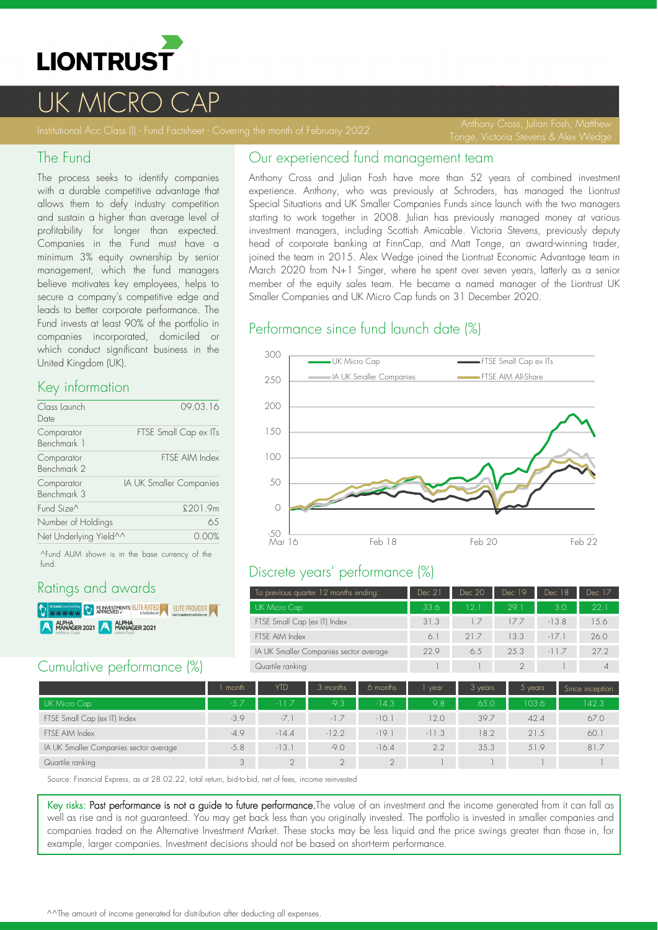

# UK MICRO C

Tonge, Victoria Stevens & Alex Wedge

#### The Fund

The process seeks to identify companies with a durable competitive advantage that allows them to defy industry competition and sustain a higher than average level of profitability for longer than expected. Companies in the Fund must have a minimum 3% equity ownership by senior management, which the fund managers believe motivates key employees, helps to secure a company's competitive edge and leads to better corporate performance. The Fund invests at least 90% of the portfolio in companies incorporated, domiciled or which conduct significant business in the United Kingdom (UK).

#### Key information

| Class Launch<br>Date      | 09.03.16                |
|---------------------------|-------------------------|
| Comparator<br>Benchmark 1 | FTSE Small Cap ex ITs   |
| Comparator<br>Benchmark 2 | FTSE AIM Index          |
| Comparator<br>Benchmark 3 | IA UK Smaller Companies |
| Fund Size <sup>^</sup>    | £201.9m                 |
| Number of Holdings        | 65                      |
| Net Underlying Yield^^    |                         |

^Fund AUM shown is in the base currency of the fund.

## Ratings and awards

**DENTISY REPROVED STATED AT SEXUAL PROVIDER** ALPHA<br>MANAGER 2021 ALPHA<br>MANAGER 2021

## Cumulative performance (%)

## Our experienced fund management team

Anthony Cross and Julian Fosh have more than 52 years of combined investment experience. Anthony, who was previously at Schroders, has managed the Liontrust Special Situations and UK Smaller Companies Funds since launch with the two managers starting to work together in 2008. Julian has previously managed money at various investment managers, including Scottish Amicable. Victoria Stevens, previously deputy head of corporate banking at FinnCap, and Matt Tonge, an award-winning trader, joined the team in 2015. Alex Wedge joined the Liontrust Economic Advantage team in March 2020 from N+1 Singer, where he spent over seven years, latterly as a senior member of the equity sales team. He became a named manager of the Liontrust UK Smaller Companies and UK Micro Cap funds on 31 December 2020.

#### Performance since fund launch date (%)



## Discrete years' performance (%)

| To previous quarter 12 months ending:  | Dec 21 | Dec 20 | Dec 19 | Dec 18         | Dec 17 |
|----------------------------------------|--------|--------|--------|----------------|--------|
| UK Micro Cap                           | 33.6   | 12.1   | 29.1   | 3 <sub>0</sub> | 221    |
| FTSE Small Cap (ex IT) Index           | 31.3   |        | 177    | $-13.8$        | 15.6   |
| FTSE AIM Index                         | 6.     | 21.7   | 13.3   | $-17.1$        | 26.0   |
| IA UK Smaller Companies sector average | 229    | 6.5    | 25.3   | $-11.7$        | 27.2   |
| Quartile ranking                       |        |        |        |                |        |

|                                        | month  | YTD     | 3 months | 6 months | vear    | 3 years | $5$ years | Since inception |
|----------------------------------------|--------|---------|----------|----------|---------|---------|-----------|-----------------|
| UK Micro Cap                           | $-5.7$ | $-117$  | $-9.3$   | $-14.3$  | 9.8     | 65.0    | 103.6     | 142.3           |
| FTSE Small Cap (ex IT) Index           | $-3.9$ | $-7.1$  | $-1.7$   | $-10.1$  | 12.0    | 39.7    | 42.4      | 67.0            |
| FTSE AIM Index                         | $-4.9$ | $-14.4$ | $-12.2$  | $-19.7$  | $-11.3$ | 18.2    | 21.5      | 60.1            |
| IA UK Smaller Companies sector average | $-5.8$ | $-13.1$ | $-9.0$   | $-16.4$  | 2.2     | 35.3    | 51.9      | 81.7            |
| Quartile ranking                       | 3      |         |          | $\cap$   |         |         |           |                 |

Source: Financial Express, as at 28.02.22, total return, bid-to-bid, net of fees, income reinvested

Key risks: Past performance is not a guide to future performance. The value of an investment and the income generated from it can fall as well as rise and is not guaranteed. You may get back less than you originally invested. The portfolio is invested in smaller companies and companies traded on the Alternative Investment Market. These stocks may be less liquid and the price swings greater than those in, for example, larger companies. Investment decisions should not be based on short-term performance.